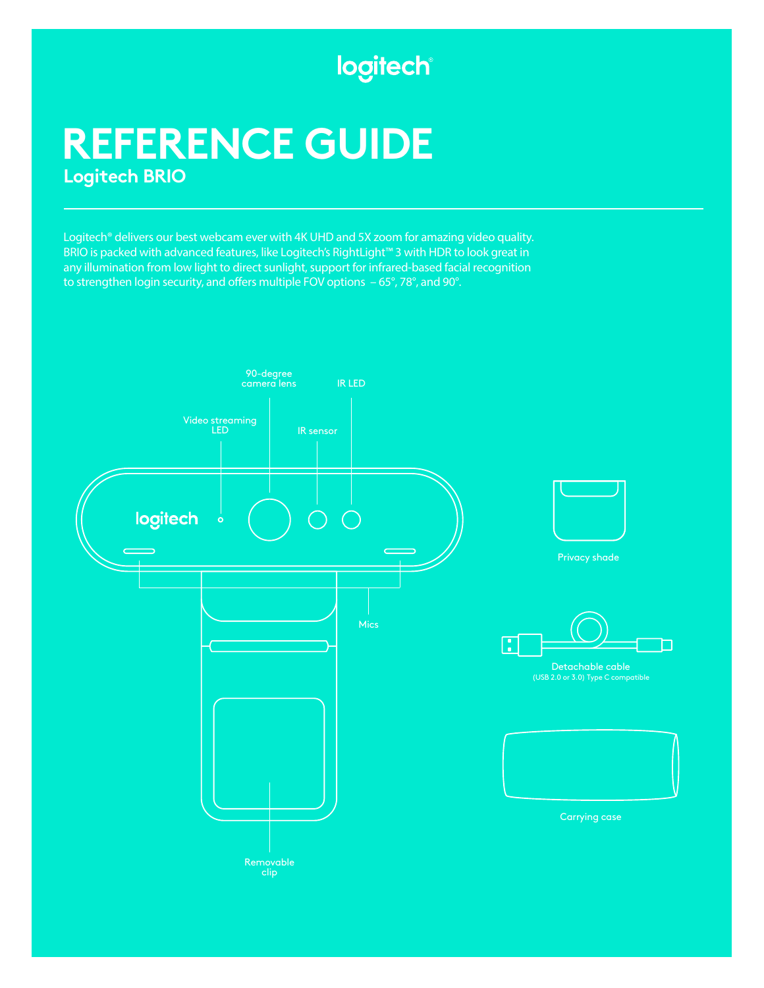## logitech®

# **REFERENCE GUIDE Logitech BRIO**

Logitech® delivers our best webcam ever with 4K UHD and 5X zoom for amazing video quality. BRIO is packed with advanced features, like Logitech's RightLight™ 3 with HDR to look great in any illumination from low light to direct sunlight, support for infrared-based facial recognition to strengthen login security, and offers multiple FOV options  $-65^\circ$ , 78°, and 90°.